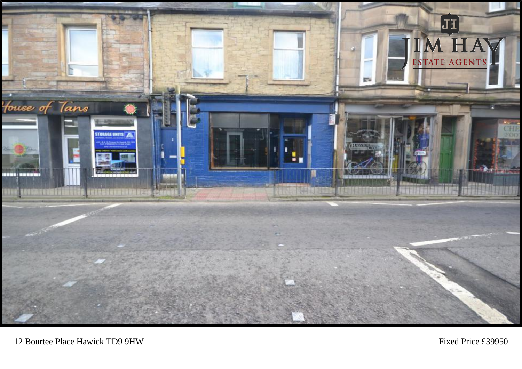

12 Bourtee Place Hawick TD9 9HW Fixed Price £39950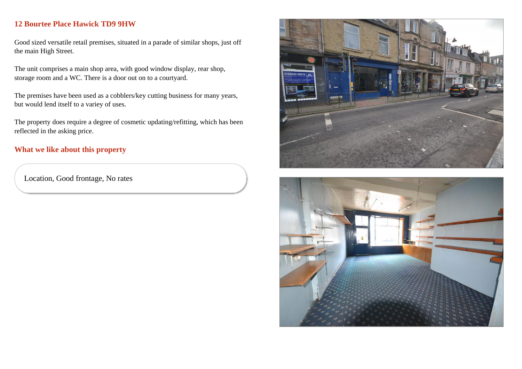## **12 Bourtee Place Hawick TD9 9HW**

Good sized versatile retail premises, situated in a parade of similar shops, just off the main High Street.

The unit comprises a main shop area, with good window display, rear shop, storage room and a WC. There is a door out on to a courtyard.

The premises have been used as a cobblers/key cutting business for many years, but would lend itself to a variey of uses.

The property does require a degree of cosmetic updating/refitting, which has been reflected in the asking price.

## **What we like about this property**

Location, Good frontage, No rates



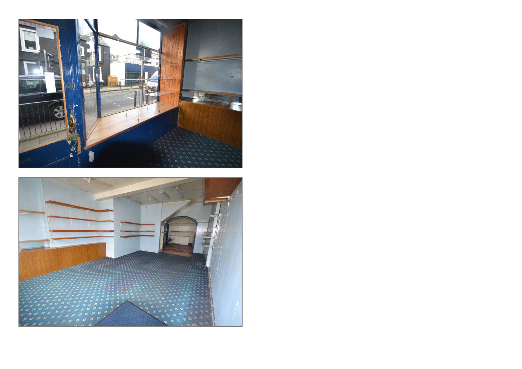